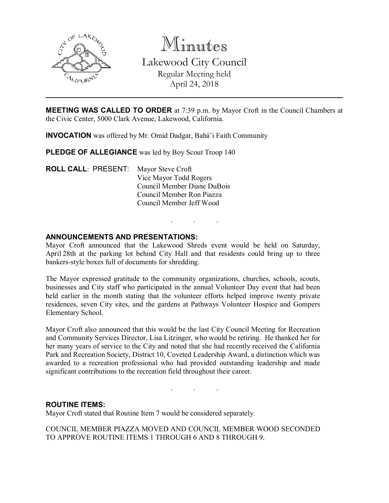

Minutes Lakewood City Council Regular Meeting held April 24, 2018

MEETING WAS CALLED TO ORDER at 7:39 p.m. by Mayor Croft in the Council Chambers at the Civic Center, 5000 Clark Avenue, Lakewood, California.

INVOCATION was offered by Mr. Omid Dadgar, Bahá'i Faith Community

PLEDGE OF ALLEGIANCE was led by Boy Scout Troop 140

ROLL CALL: PRESENT: Mayor Steve Croft Vice Mayor Todd Rogers Council Member Diane DuBois Council Member Ron Piazza Council Member Jeff Wood

## ANNOUNCEMENTS AND PRESENTATIONS:

Mayor Croft announced that the Lakewood Shreds event would be held on Saturday, April 28th at the parking lot behind City Hall and that residents could bring up to three bankers-style boxes full of documents for shredding.

. . .

The Mayor expressed gratitude to the community organizations, churches, schools, scouts, businesses and City staff who participated in the annual Volunteer Day event that had been held earlier in the month stating that the volunteer efforts helped improve twenty private residences, seven City sites, and the gardens at Pathways Volunteer Hospice and Gompers Elementary School.

Mayor Croft also announced that this would be the last City Council Meeting for Recreation and Community Services Director, Lisa Litzinger, who would be retiring. He thanked her for her many years of service to the City and noted that she had recently received the California Park and Recreation Society, District 10, Coveted Leadership Award, a distinction which was awarded to a recreation professional who had provided outstanding leadership and made significant contributions to the recreation field throughout their career.

. . .

### ROUTINE ITEMS:

Mayor Croft stated that Routine Item 7 would be considered separately.

COUNCIL MEMBER PIAZZA MOVED AND COUNCIL MEMBER WOOD SECONDED TO APPROVE ROUTINE ITEMS 1 THROUGH 6 AND 8 THROUGH 9.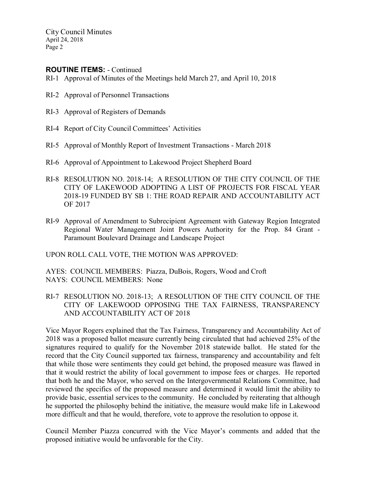## ROUTINE ITEMS: - Continued

- RI-1 Approval of Minutes of the Meetings held March 27, and April 10, 2018
- RI-2 Approval of Personnel Transactions
- RI-3 Approval of Registers of Demands
- RI-4 Report of City Council Committees' Activities
- RI-5 Approval of Monthly Report of Investment Transactions March 2018
- RI-6 Approval of Appointment to Lakewood Project Shepherd Board
- RI-8 RESOLUTION NO. 2018-14; A RESOLUTION OF THE CITY COUNCIL OF THE CITY OF LAKEWOOD ADOPTING A LIST OF PROJECTS FOR FISCAL YEAR 2018-19 FUNDED BY SB 1: THE ROAD REPAIR AND ACCOUNTABILITY ACT OF 2017
- RI-9 Approval of Amendment to Subrecipient Agreement with Gateway Region Integrated Regional Water Management Joint Powers Authority for the Prop. 84 Grant - Paramount Boulevard Drainage and Landscape Project

UPON ROLL CALL VOTE, THE MOTION WAS APPROVED:

AYES: COUNCIL MEMBERS: Piazza, DuBois, Rogers, Wood and Croft NAYS: COUNCIL MEMBERS: None

RI-7 RESOLUTION NO. 2018-13; A RESOLUTION OF THE CITY COUNCIL OF THE CITY OF LAKEWOOD OPPOSING THE TAX FAIRNESS, TRANSPARENCY AND ACCOUNTABILITY ACT OF 2018

Vice Mayor Rogers explained that the Tax Fairness, Transparency and Accountability Act of 2018 was a proposed ballot measure currently being circulated that had achieved 25% of the signatures required to qualify for the November 2018 statewide ballot. He stated for the record that the City Council supported tax fairness, transparency and accountability and felt that while those were sentiments they could get behind, the proposed measure was flawed in that it would restrict the ability of local government to impose fees or charges. He reported that both he and the Mayor, who served on the Intergovernmental Relations Committee, had reviewed the specifics of the proposed measure and determined it would limit the ability to provide basic, essential services to the community. He concluded by reiterating that although he supported the philosophy behind the initiative, the measure would make life in Lakewood more difficult and that he would, therefore, vote to approve the resolution to oppose it.

Council Member Piazza concurred with the Vice Mayor's comments and added that the proposed initiative would be unfavorable for the City.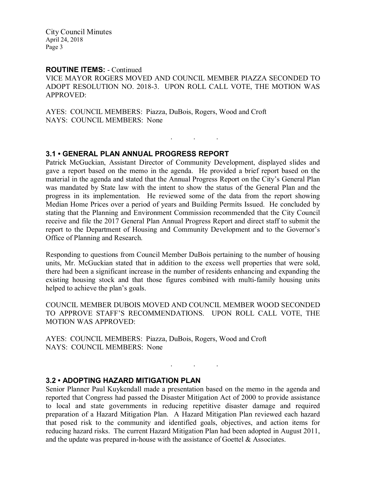#### ROUTINE ITEMS: - Continued

VICE MAYOR ROGERS MOVED AND COUNCIL MEMBER PIAZZA SECONDED TO ADOPT RESOLUTION NO. 2018-3. UPON ROLL CALL VOTE, THE MOTION WAS APPROVED:

. . .

AYES: COUNCIL MEMBERS: Piazza, DuBois, Rogers, Wood and Croft NAYS: COUNCIL MEMBERS: None

## 3.1 • GENERAL PLAN ANNUAL PROGRESS REPORT

Patrick McGuckian, Assistant Director of Community Development, displayed slides and gave a report based on the memo in the agenda. He provided a brief report based on the material in the agenda and stated that the Annual Progress Report on the City's General Plan was mandated by State law with the intent to show the status of the General Plan and the progress in its implementation. He reviewed some of the data from the report showing Median Home Prices over a period of years and Building Permits Issued. He concluded by stating that the Planning and Environment Commission recommended that the City Council receive and file the 2017 General Plan Annual Progress Report and direct staff to submit the report to the Department of Housing and Community Development and to the Governor's Office of Planning and Research.

Responding to questions from Council Member DuBois pertaining to the number of housing units, Mr. McGuckian stated that in addition to the excess well properties that were sold, there had been a significant increase in the number of residents enhancing and expanding the existing housing stock and that those figures combined with multi-family housing units helped to achieve the plan's goals.

COUNCIL MEMBER DUBOIS MOVED AND COUNCIL MEMBER WOOD SECONDED TO APPROVE STAFF'S RECOMMENDATIONS. UPON ROLL CALL VOTE, THE MOTION WAS APPROVED:

AYES: COUNCIL MEMBERS: Piazza, DuBois, Rogers, Wood and Croft NAYS: COUNCIL MEMBERS: None

### 3.2 • ADOPTING HAZARD MITIGATION PLAN

Senior Planner Paul Kuykendall made a presentation based on the memo in the agenda and reported that Congress had passed the Disaster Mitigation Act of 2000 to provide assistance to local and state governments in reducing repetitive disaster damage and required preparation of a Hazard Mitigation Plan. A Hazard Mitigation Plan reviewed each hazard that posed risk to the community and identified goals, objectives, and action items for reducing hazard risks. The current Hazard Mitigation Plan had been adopted in August 2011, and the update was prepared in-house with the assistance of Goettel & Associates.

. . .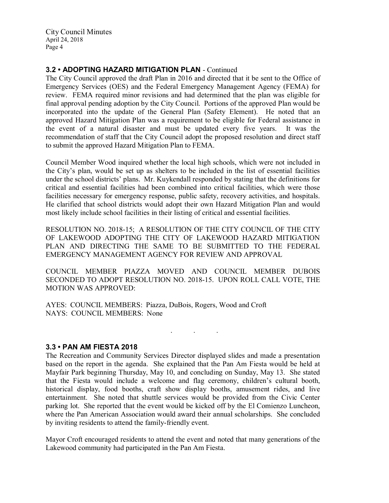# 3.2 • ADOPTING HAZARD MITIGATION PLAN - Continued

The City Council approved the draft Plan in 2016 and directed that it be sent to the Office of Emergency Services (OES) and the Federal Emergency Management Agency (FEMA) for review. FEMA required minor revisions and had determined that the plan was eligible for final approval pending adoption by the City Council. Portions of the approved Plan would be incorporated into the update of the General Plan (Safety Element). He noted that an approved Hazard Mitigation Plan was a requirement to be eligible for Federal assistance in the event of a natural disaster and must be updated every five years. It was the recommendation of staff that the City Council adopt the proposed resolution and direct staff to submit the approved Hazard Mitigation Plan to FEMA.

Council Member Wood inquired whether the local high schools, which were not included in the City's plan, would be set up as shelters to be included in the list of essential facilities under the school districts' plans. Mr. Kuykendall responded by stating that the definitions for critical and essential facilities had been combined into critical facilities, which were those facilities necessary for emergency response, public safety, recovery activities, and hospitals. He clarified that school districts would adopt their own Hazard Mitigation Plan and would most likely include school facilities in their listing of critical and essential facilities.

RESOLUTION NO. 2018-15; A RESOLUTION OF THE CITY COUNCIL OF THE CITY OF LAKEWOOD ADOPTING THE CITY OF LAKEWOOD HAZARD MITIGATION PLAN AND DIRECTING THE SAME TO BE SUBMITTED TO THE FEDERAL EMERGENCY MANAGEMENT AGENCY FOR REVIEW AND APPROVAL

COUNCIL MEMBER PIAZZA MOVED AND COUNCIL MEMBER DUBOIS SECONDED TO ADOPT RESOLUTION NO. 2018-15. UPON ROLL CALL VOTE, THE MOTION WAS APPROVED:

 $\mathbf{r}$  .  $\mathbf{r}$  ,  $\mathbf{r}$  ,  $\mathbf{r}$  ,  $\mathbf{r}$  ,  $\mathbf{r}$  ,  $\mathbf{r}$  ,  $\mathbf{r}$ 

AYES: COUNCIL MEMBERS: Piazza, DuBois, Rogers, Wood and Croft NAYS: COUNCIL MEMBERS: None

### 3.3 • PAN AM FIESTA 2018

The Recreation and Community Services Director displayed slides and made a presentation based on the report in the agenda. She explained that the Pan Am Fiesta would be held at Mayfair Park beginning Thursday, May 10, and concluding on Sunday, May 13. She stated that the Fiesta would include a welcome and flag ceremony, children's cultural booth, historical display, food booths, craft show display booths, amusement rides, and live entertainment. She noted that shuttle services would be provided from the Civic Center parking lot. She reported that the event would be kicked off by the El Comienzo Luncheon, where the Pan American Association would award their annual scholarships. She concluded by inviting residents to attend the family-friendly event.

Mayor Croft encouraged residents to attend the event and noted that many generations of the Lakewood community had participated in the Pan Am Fiesta.